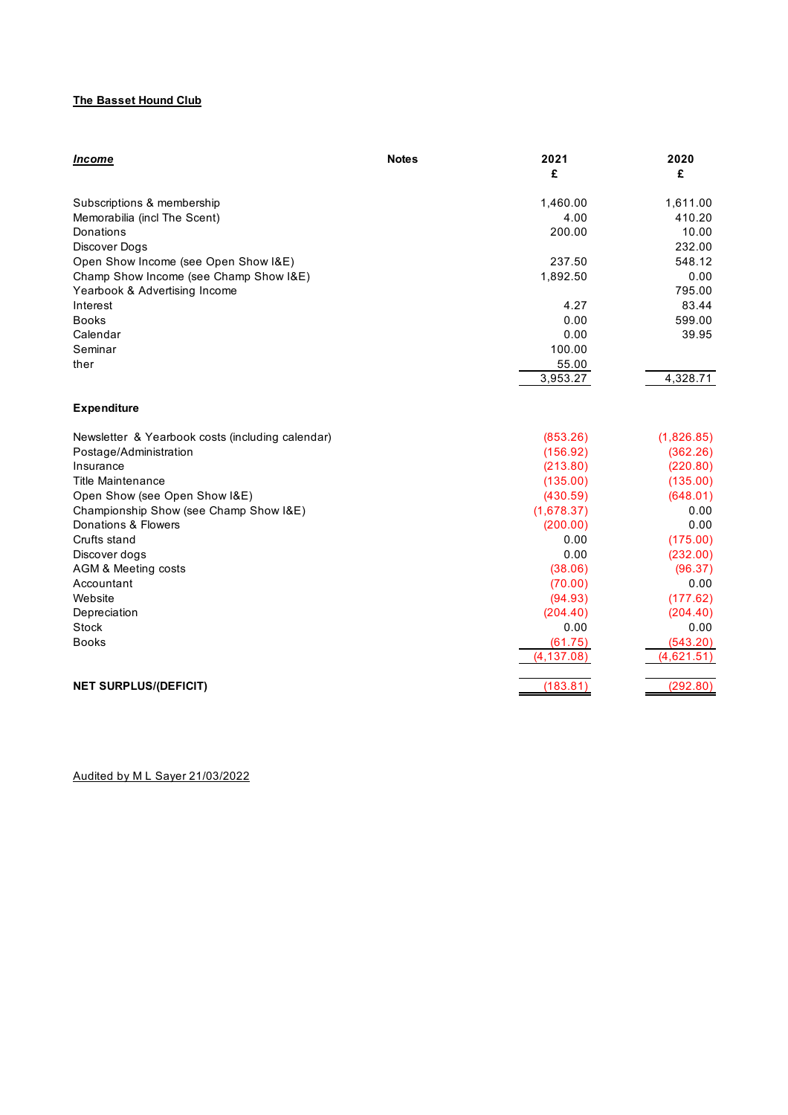### **The Basset Hound Club**

| Income                                           | <b>Notes</b><br>2021<br>£ | 2020<br>£  |
|--------------------------------------------------|---------------------------|------------|
| Subscriptions & membership                       | 1,460.00                  | 1,611.00   |
| Memorabilia (incl The Scent)                     | 4.00                      | 410.20     |
| Donations                                        | 200.00                    | 10.00      |
| Discover Dogs                                    |                           | 232.00     |
| Open Show Income (see Open Show I&E)             | 237.50                    | 548.12     |
| Champ Show Income (see Champ Show I&E)           | 1,892.50                  | 0.00       |
| Yearbook & Advertising Income                    |                           | 795.00     |
| Interest                                         | 4.27                      | 83.44      |
| <b>Books</b>                                     | 0.00                      | 599.00     |
| Calendar                                         | 0.00                      | 39.95      |
| Seminar                                          | 100.00                    |            |
| ther                                             | 55.00                     |            |
|                                                  | 3,953.27                  | 4,328.71   |
| <b>Expenditure</b>                               |                           |            |
| Newsletter & Yearbook costs (including calendar) | (853.26)                  | (1,826.85) |
| Postage/Administration                           | (156.92)                  | (362.26)   |
| Insurance                                        | (213.80)                  | (220.80)   |
| <b>Title Maintenance</b>                         | (135.00)                  | (135.00)   |
| Open Show (see Open Show I&E)                    | (430.59)                  | (648.01)   |
| Championship Show (see Champ Show I&E)           | (1,678.37)                | 0.00       |
| Donations & Flowers                              | (200.00)                  | 0.00       |
| Crufts stand                                     | 0.00                      | (175.00)   |
| Discover dogs                                    | 0.00                      | (232.00)   |
| <b>AGM &amp; Meeting costs</b>                   | (38.06)                   | (96.37)    |
| Accountant                                       | (70.00)                   | 0.00       |
| Website                                          | (94.93)                   | (177.62)   |
| Depreciation                                     | (204.40)                  | (204.40)   |
| Stock                                            | 0.00                      | 0.00       |
| <b>Books</b>                                     | (61.75)                   | (543.20)   |
|                                                  | (4, 137.08)               | (4,621.51) |
| <b>NET SURPLUS/(DEFICIT)</b>                     | (183.81)                  | (292.80)   |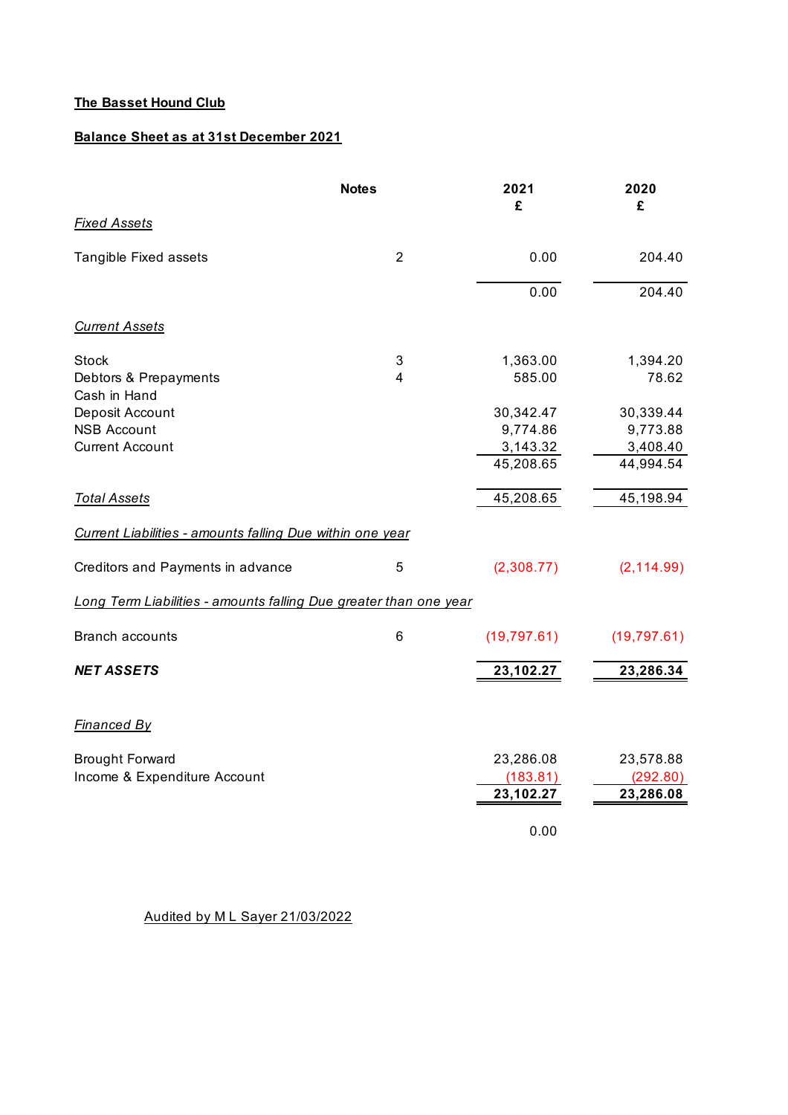## **The Basset Hound Club**

## **Balance Sheet as at 31st December 2021**

|                                                                   | <b>Notes</b>   | 2021<br>£    | 2020<br>£    |
|-------------------------------------------------------------------|----------------|--------------|--------------|
| <b>Fixed Assets</b>                                               |                |              |              |
| Tangible Fixed assets                                             | $\overline{2}$ | 0.00         | 204.40       |
|                                                                   |                | 0.00         | 204.40       |
| <b>Current Assets</b>                                             |                |              |              |
| <b>Stock</b>                                                      | 3              | 1,363.00     | 1,394.20     |
| Debtors & Prepayments<br>Cash in Hand                             | 4              | 585.00       | 78.62        |
| Deposit Account                                                   |                | 30,342.47    | 30,339.44    |
| <b>NSB Account</b>                                                |                | 9,774.86     | 9,773.88     |
| <b>Current Account</b>                                            |                | 3,143.32     | 3,408.40     |
|                                                                   |                | 45,208.65    | 44,994.54    |
| <b>Total Assets</b>                                               |                | 45,208.65    | 45,198.94    |
| Current Liabilities - amounts falling Due within one year         |                |              |              |
| Creditors and Payments in advance                                 | 5              | (2,308.77)   | (2, 114.99)  |
| Long Term Liabilities - amounts falling Due greater than one year |                |              |              |
| <b>Branch accounts</b>                                            | 6              | (19, 797.61) | (19, 797.61) |
| <b>NET ASSETS</b>                                                 |                | 23,102.27    | 23,286.34    |
| <b>Financed By</b>                                                |                |              |              |
| <b>Brought Forward</b>                                            |                | 23,286.08    | 23,578.88    |
| Income & Expenditure Account                                      |                | (183.81)     | (292.80)     |
|                                                                   |                | 23,102.27    | 23,286.08    |
|                                                                   |                | 0.00         |              |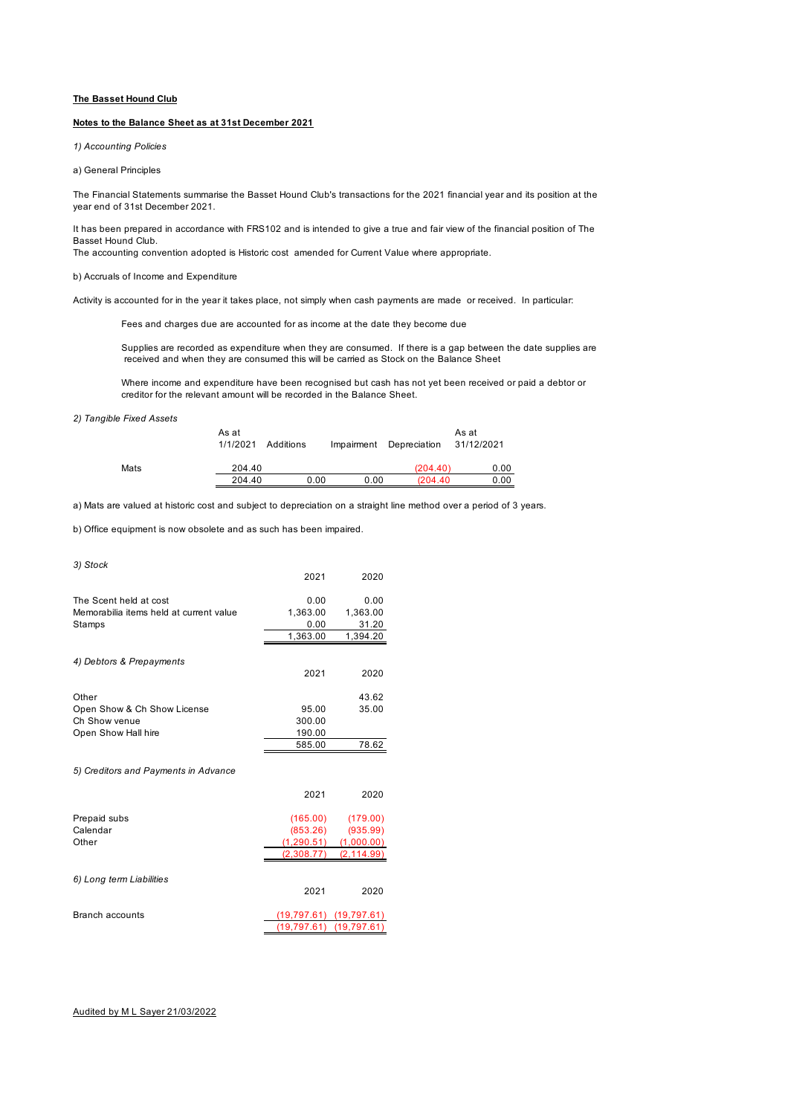#### **The Basset Hound Club**

#### **Notes to the Balance Sheet as at 31st December 2021**

*1) Accounting Policies*

a) General Principles

The Financial Statements summarise the Basset Hound Club's transactions for the 2021 financial year and its position at the year end of 31st December 2021.

It has been prepared in accordance with FRS102 and is intended to give a true and fair view of the financial position of The Basset Hound Club.

The accounting convention adopted is Historic cost amended for Current Value where appropriate.

b) Accruals of Income and Expenditure

Activity is accounted for in the year it takes place, not simply when cash payments are made or received. In particular:

Fees and charges due are accounted for as income at the date they become due

Supplies are recorded as expenditure when they are consumed. If there is a gap between the date supplies are received and when they are consumed this will be carried as Stock on the Balance Sheet

Where income and expenditure have been recognised but cash has not yet been received or paid a debtor or creditor for the relevant amount will be recorded in the Balance Sheet.

#### *2) Tangible Fixed Assets*

|      | As at<br>1/1/2021 | Additions | Impairment | Depreciation | As at<br>31/12/2021 |
|------|-------------------|-----------|------------|--------------|---------------------|
| Mats | 204.40            |           |            | (204.40)     | 0.00                |
|      | 204.40            | 0.00      | 0.00       | (204.40)     | 0.00                |

a) Mats are valued at historic cost and subject to depreciation on a straight line method over a period of 3 years.

b) Office equipment is now obsolete and as such has been impaired.

| 3) Stock                                |          |          |
|-----------------------------------------|----------|----------|
|                                         | 2021     | 2020     |
| The Scent held at cost                  | 0.00     | 0.00     |
| Memorabilia items held at current value | 1,363.00 | 1,363.00 |
| Stamps                                  | 0.00     | 31.20    |
|                                         | 1,363.00 | 1,394.20 |
|                                         |          |          |
| 4) Debtors & Prepayments                |          |          |
|                                         | 2021     | 2020     |
|                                         |          |          |
| Other                                   |          | 43.62    |
| Open Show & Ch Show License             | 95.00    | 35.00    |
| Ch Show venue                           | 300.00   |          |
| Open Show Hall hire                     | 190.00   |          |
|                                         | 585.00   | 78.62    |
|                                         |          |          |
| 5) Creditors and Payments in Advance    |          |          |
|                                         | 2021     | 2020     |

| Prepaid subs             | (165.00)    | (179.00)    |
|--------------------------|-------------|-------------|
| Calendar                 | (853.26)    | (935.99)    |
| Other                    | (1, 290.51) | (1,000.00)  |
|                          | (2,308.77)  | (2, 114.99) |
|                          |             |             |
| 6) Long term Liabilities |             |             |
|                          | 2021        | 2020        |
|                          |             |             |

| Branch accounts | $(19.797.61)$ $(19.797.61)$ |  |
|-----------------|-----------------------------|--|
|                 | $(19.797.61)$ $(19.797.61)$ |  |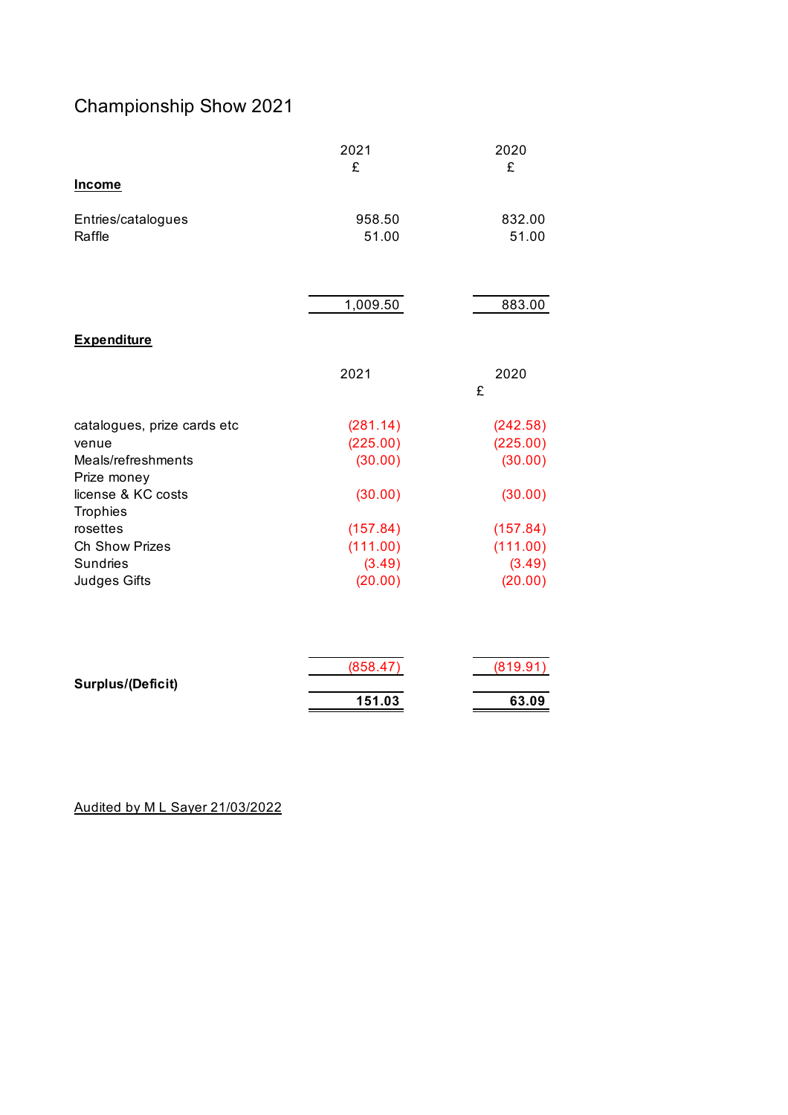# Championship Show 2021

|                                       | 2021     | 2020     |
|---------------------------------------|----------|----------|
|                                       | £        | £        |
| <b>Income</b>                         |          |          |
| Entries/catalogues                    | 958.50   | 832.00   |
| Raffle                                | 51.00    | 51.00    |
|                                       |          |          |
|                                       | 1,009.50 | 883.00   |
| <b>Expenditure</b>                    |          |          |
|                                       | 2021     | 2020     |
|                                       |          | £        |
| catalogues, prize cards etc           | (281.14) | (242.58) |
| venue                                 | (225.00) | (225.00) |
| Meals/refreshments<br>Prize money     | (30.00)  | (30.00)  |
| license & KC costs<br><b>Trophies</b> | (30.00)  | (30.00)  |
| rosettes                              | (157.84) | (157.84) |
| Ch Show Prizes                        | (111.00) | (111.00) |
| Sundries                              | (3.49)   | (3.49)   |
| <b>Judges Gifts</b>                   | (20.00)  | (20.00)  |
|                                       |          |          |
|                                       | (858.47) | (819.91) |
| Surplus/(Deficit)                     |          |          |
|                                       | 151.03   | 63.09    |